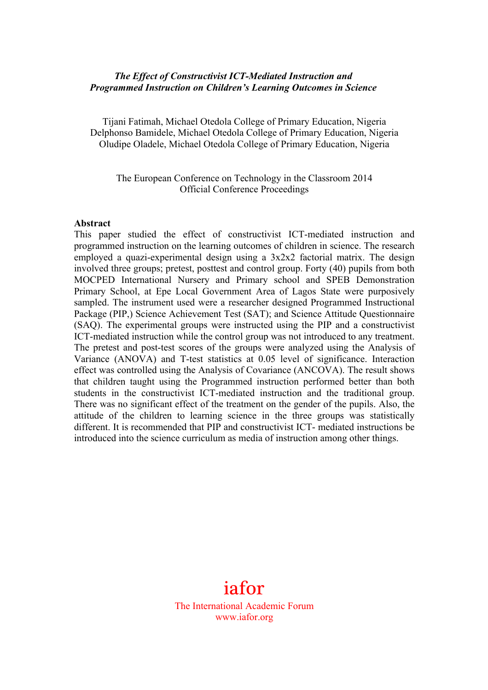## *The Effect of Constructivist ICT-Mediated Instruction and Programmed Instruction on Children's Learning Outcomes in Science*

Tijani Fatimah, Michael Otedola College of Primary Education, Nigeria Delphonso Bamidele, Michael Otedola College of Primary Education, Nigeria Oludipe Oladele, Michael Otedola College of Primary Education, Nigeria

The European Conference on Technology in the Classroom 2014 Official Conference Proceedings

#### **Abstract**

This paper studied the effect of constructivist ICT-mediated instruction and programmed instruction on the learning outcomes of children in science. The research employed a quazi-experimental design using a 3x2x2 factorial matrix. The design involved three groups; pretest, posttest and control group. Forty (40) pupils from both MOCPED International Nursery and Primary school and SPEB Demonstration Primary School, at Epe Local Government Area of Lagos State were purposively sampled. The instrument used were a researcher designed Programmed Instructional Package (PIP,) Science Achievement Test (SAT); and Science Attitude Questionnaire (SAQ). The experimental groups were instructed using the PIP and a constructivist ICT-mediated instruction while the control group was not introduced to any treatment. The pretest and post-test scores of the groups were analyzed using the Analysis of Variance (ANOVA) and T-test statistics at 0.05 level of significance. Interaction effect was controlled using the Analysis of Covariance (ANCOVA). The result shows that children taught using the Programmed instruction performed better than both students in the constructivist ICT-mediated instruction and the traditional group. There was no significant effect of the treatment on the gender of the pupils. Also, the attitude of the children to learning science in the three groups was statistically different. It is recommended that PIP and constructivist ICT- mediated instructions be introduced into the science curriculum as media of instruction among other things.

# iafor

The International Academic Forum www.iafor.org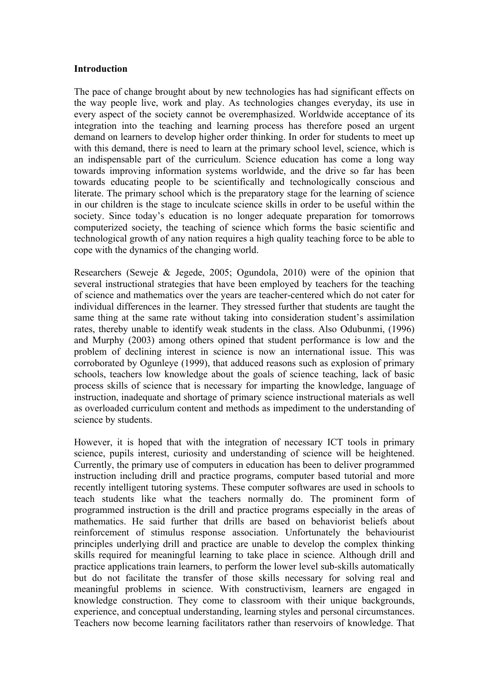#### **Introduction**

The pace of change brought about by new technologies has had significant effects on the way people live, work and play. As technologies changes everyday, its use in every aspect of the society cannot be overemphasized. Worldwide acceptance of its integration into the teaching and learning process has therefore posed an urgent demand on learners to develop higher order thinking. In order for students to meet up with this demand, there is need to learn at the primary school level, science, which is an indispensable part of the curriculum. Science education has come a long way towards improving information systems worldwide, and the drive so far has been towards educating people to be scientifically and technologically conscious and literate. The primary school which is the preparatory stage for the learning of science in our children is the stage to inculcate science skills in order to be useful within the society. Since today's education is no longer adequate preparation for tomorrows computerized society, the teaching of science which forms the basic scientific and technological growth of any nation requires a high quality teaching force to be able to cope with the dynamics of the changing world.

Researchers (Seweje & Jegede, 2005; Ogundola, 2010) were of the opinion that several instructional strategies that have been employed by teachers for the teaching of science and mathematics over the years are teacher-centered which do not cater for individual differences in the learner. They stressed further that students are taught the same thing at the same rate without taking into consideration student's assimilation rates, thereby unable to identify weak students in the class. Also Odubunmi, (1996) and Murphy (2003) among others opined that student performance is low and the problem of declining interest in science is now an international issue. This was corroborated by Ogunleye (1999), that adduced reasons such as explosion of primary schools, teachers low knowledge about the goals of science teaching, lack of basic process skills of science that is necessary for imparting the knowledge, language of instruction, inadequate and shortage of primary science instructional materials as well as overloaded curriculum content and methods as impediment to the understanding of science by students.

However, it is hoped that with the integration of necessary ICT tools in primary science, pupils interest, curiosity and understanding of science will be heightened. Currently, the primary use of computers in education has been to deliver programmed instruction including drill and practice programs, computer based tutorial and more recently intelligent tutoring systems. These computer softwares are used in schools to teach students like what the teachers normally do. The prominent form of programmed instruction is the drill and practice programs especially in the areas of mathematics. He said further that drills are based on behaviorist beliefs about reinforcement of stimulus response association. Unfortunately the behaviourist principles underlying drill and practice are unable to develop the complex thinking skills required for meaningful learning to take place in science. Although drill and practice applications train learners, to perform the lower level sub-skills automatically but do not facilitate the transfer of those skills necessary for solving real and meaningful problems in science. With constructivism, learners are engaged in knowledge construction. They come to classroom with their unique backgrounds, experience, and conceptual understanding, learning styles and personal circumstances. Teachers now become learning facilitators rather than reservoirs of knowledge. That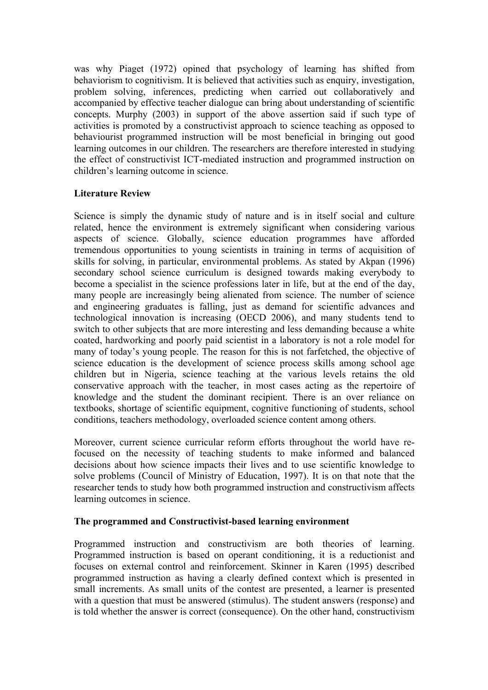was why Piaget (1972) opined that psychology of learning has shifted from behaviorism to cognitivism. It is believed that activities such as enquiry, investigation, problem solving, inferences, predicting when carried out collaboratively and accompanied by effective teacher dialogue can bring about understanding of scientific concepts. Murphy (2003) in support of the above assertion said if such type of activities is promoted by a constructivist approach to science teaching as opposed to behaviourist programmed instruction will be most beneficial in bringing out good learning outcomes in our children. The researchers are therefore interested in studying the effect of constructivist ICT-mediated instruction and programmed instruction on children's learning outcome in science.

# **Literature Review**

Science is simply the dynamic study of nature and is in itself social and culture related, hence the environment is extremely significant when considering various aspects of science. Globally, science education programmes have afforded tremendous opportunities to young scientists in training in terms of acquisition of skills for solving, in particular, environmental problems. As stated by Akpan (1996) secondary school science curriculum is designed towards making everybody to become a specialist in the science professions later in life, but at the end of the day, many people are increasingly being alienated from science. The number of science and engineering graduates is falling, just as demand for scientific advances and technological innovation is increasing (OECD 2006), and many students tend to switch to other subjects that are more interesting and less demanding because a white coated, hardworking and poorly paid scientist in a laboratory is not a role model for many of today's young people. The reason for this is not farfetched, the objective of science education is the development of science process skills among school age children but in Nigeria, science teaching at the various levels retains the old conservative approach with the teacher, in most cases acting as the repertoire of knowledge and the student the dominant recipient. There is an over reliance on textbooks, shortage of scientific equipment, cognitive functioning of students, school conditions, teachers methodology, overloaded science content among others.

Moreover, current science curricular reform efforts throughout the world have refocused on the necessity of teaching students to make informed and balanced decisions about how science impacts their lives and to use scientific knowledge to solve problems (Council of Ministry of Education, 1997). It is on that note that the researcher tends to study how both programmed instruction and constructivism affects learning outcomes in science.

# **The programmed and Constructivist-based learning environment**

Programmed instruction and constructivism are both theories of learning. Programmed instruction is based on operant conditioning, it is a reductionist and focuses on external control and reinforcement. Skinner in Karen (1995) described programmed instruction as having a clearly defined context which is presented in small increments. As small units of the contest are presented, a learner is presented with a question that must be answered (stimulus). The student answers (response) and is told whether the answer is correct (consequence). On the other hand, constructivism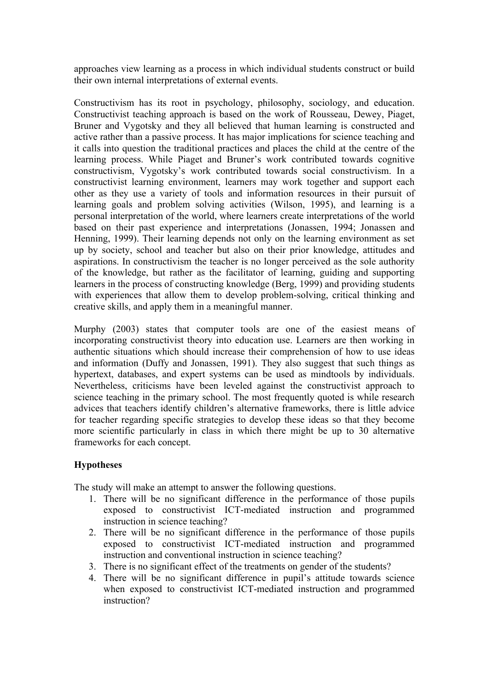approaches view learning as a process in which individual students construct or build their own internal interpretations of external events.

Constructivism has its root in psychology, philosophy, sociology, and education. Constructivist teaching approach is based on the work of Rousseau, Dewey, Piaget, Bruner and Vygotsky and they all believed that human learning is constructed and active rather than a passive process. It has major implications for science teaching and it calls into question the traditional practices and places the child at the centre of the learning process. While Piaget and Bruner's work contributed towards cognitive constructivism, Vygotsky's work contributed towards social constructivism. In a constructivist learning environment, learners may work together and support each other as they use a variety of tools and information resources in their pursuit of learning goals and problem solving activities (Wilson, 1995), and learning is a personal interpretation of the world, where learners create interpretations of the world based on their past experience and interpretations (Jonassen, 1994; Jonassen and Henning, 1999). Their learning depends not only on the learning environment as set up by society, school and teacher but also on their prior knowledge, attitudes and aspirations. In constructivism the teacher is no longer perceived as the sole authority of the knowledge, but rather as the facilitator of learning, guiding and supporting learners in the process of constructing knowledge (Berg, 1999) and providing students with experiences that allow them to develop problem-solving, critical thinking and creative skills, and apply them in a meaningful manner.

Murphy (2003) states that computer tools are one of the easiest means of incorporating constructivist theory into education use. Learners are then working in authentic situations which should increase their comprehension of how to use ideas and information (Duffy and Jonassen, 1991). They also suggest that such things as hypertext, databases, and expert systems can be used as mindtools by individuals. Nevertheless, criticisms have been leveled against the constructivist approach to science teaching in the primary school. The most frequently quoted is while research advices that teachers identify children's alternative frameworks, there is little advice for teacher regarding specific strategies to develop these ideas so that they become more scientific particularly in class in which there might be up to 30 alternative frameworks for each concept.

# **Hypotheses**

The study will make an attempt to answer the following questions.

- 1. There will be no significant difference in the performance of those pupils exposed to constructivist ICT-mediated instruction and programmed instruction in science teaching?
- 2. There will be no significant difference in the performance of those pupils exposed to constructivist ICT-mediated instruction and programmed instruction and conventional instruction in science teaching?
- 3. There is no significant effect of the treatments on gender of the students?
- 4. There will be no significant difference in pupil's attitude towards science when exposed to constructivist ICT-mediated instruction and programmed instruction?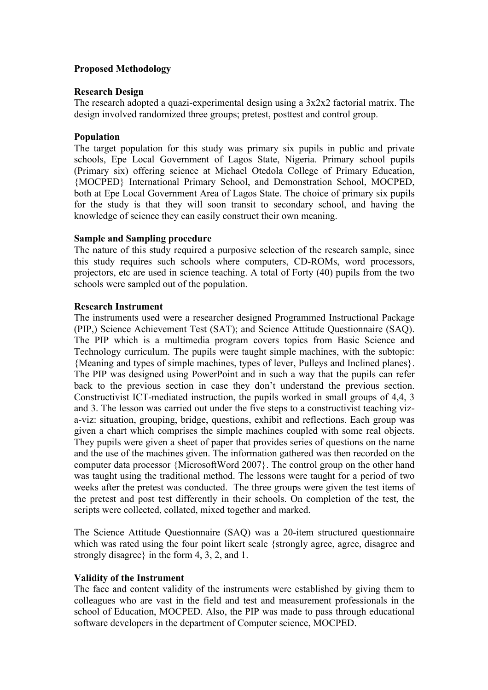#### **Proposed Methodology**

### **Research Design**

The research adopted a quazi-experimental design using a 3x2x2 factorial matrix. The design involved randomized three groups; pretest, posttest and control group.

## **Population**

The target population for this study was primary six pupils in public and private schools, Epe Local Government of Lagos State, Nigeria. Primary school pupils (Primary six) offering science at Michael Otedola College of Primary Education, {MOCPED} International Primary School, and Demonstration School, MOCPED, both at Epe Local Government Area of Lagos State. The choice of primary six pupils for the study is that they will soon transit to secondary school, and having the knowledge of science they can easily construct their own meaning.

## **Sample and Sampling procedure**

The nature of this study required a purposive selection of the research sample, since this study requires such schools where computers, CD-ROMs, word processors, projectors, etc are used in science teaching. A total of Forty (40) pupils from the two schools were sampled out of the population.

## **Research Instrument**

The instruments used were a researcher designed Programmed Instructional Package (PIP,) Science Achievement Test (SAT); and Science Attitude Questionnaire (SAQ). The PIP which is a multimedia program covers topics from Basic Science and Technology curriculum. The pupils were taught simple machines, with the subtopic: {Meaning and types of simple machines, types of lever, Pulleys and Inclined planes}. The PIP was designed using PowerPoint and in such a way that the pupils can refer back to the previous section in case they don't understand the previous section. Constructivist ICT-mediated instruction, the pupils worked in small groups of 4,4, 3 and 3. The lesson was carried out under the five steps to a constructivist teaching viza-viz: situation, grouping, bridge, questions, exhibit and reflections. Each group was given a chart which comprises the simple machines coupled with some real objects. They pupils were given a sheet of paper that provides series of questions on the name and the use of the machines given. The information gathered was then recorded on the computer data processor {MicrosoftWord 2007}. The control group on the other hand was taught using the traditional method. The lessons were taught for a period of two weeks after the pretest was conducted. The three groups were given the test items of the pretest and post test differently in their schools. On completion of the test, the scripts were collected, collated, mixed together and marked.

The Science Attitude Questionnaire (SAQ) was a 20-item structured questionnaire which was rated using the four point likert scale {strongly agree, agree, disagree and strongly disagree} in the form 4, 3, 2, and 1.

#### **Validity of the Instrument**

The face and content validity of the instruments were established by giving them to colleagues who are vast in the field and test and measurement professionals in the school of Education, MOCPED. Also, the PIP was made to pass through educational software developers in the department of Computer science, MOCPED.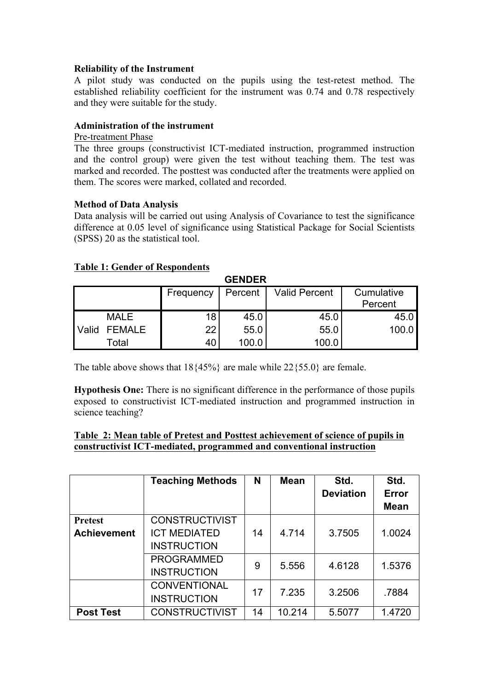## **Reliability of the Instrument**

A pilot study was conducted on the pupils using the test-retest method. The established reliability coefficient for the instrument was 0.74 and 0.78 respectively and they were suitable for the study.

## **Administration of the instrument**

#### Pre-treatment Phase

The three groups (constructivist ICT-mediated instruction, programmed instruction and the control group) were given the test without teaching them. The test was marked and recorded. The posttest was conducted after the treatments were applied on them. The scores were marked, collated and recorded.

#### **Method of Data Analysis**

Data analysis will be carried out using Analysis of Covariance to test the significance difference at 0.05 level of significance using Statistical Package for Social Scientists (SPSS) 20 as the statistical tool.

#### **Table 1: Gender of Respondents**

| UENDER       |             |           |         |                      |            |  |  |  |  |
|--------------|-------------|-----------|---------|----------------------|------------|--|--|--|--|
|              |             | Frequency | Percent | <b>Valid Percent</b> | Cumulative |  |  |  |  |
|              |             |           |         |                      | Percent    |  |  |  |  |
|              | <b>MALE</b> | 18        | 45.0    | 45.0                 | 45.0       |  |  |  |  |
| <b>Valid</b> | FEMALE      | 22        | 55.0    | 55.0                 | 100.0      |  |  |  |  |
|              | Total       | 40        | 100.0   | 100.0                |            |  |  |  |  |

**GENDER**

The table above shows that  $18{45\%}$  are male while  $22{55.0}$  are female.

**Hypothesis One:** There is no significant difference in the performance of those pupils exposed to constructivist ICT-mediated instruction and programmed instruction in science teaching?

#### **Table 2: Mean table of Pretest and Posttest achievement of science of pupils in constructivist ICT-mediated, programmed and conventional instruction**

|                    | <b>Teaching Methods</b> | N  | <b>Mean</b> | Std.<br><b>Deviation</b> | Std.<br><b>Error</b><br><b>Mean</b> |
|--------------------|-------------------------|----|-------------|--------------------------|-------------------------------------|
| <b>Pretest</b>     | <b>CONSTRUCTIVIST</b>   |    |             |                          |                                     |
| <b>Achievement</b> | <b>ICT MEDIATED</b>     | 14 | 4.714       | 3.7505                   | 1.0024                              |
|                    | <b>INSTRUCTION</b>      |    |             |                          |                                     |
|                    | <b>PROGRAMMED</b>       | 9  | 5.556       | 4.6128                   | 1.5376                              |
|                    | <b>INSTRUCTION</b>      |    |             |                          |                                     |
|                    | <b>CONVENTIONAL</b>     | 17 | 7.235       | 3.2506                   | .7884                               |
|                    | <b>INSTRUCTION</b>      |    |             |                          |                                     |
| <b>Post Test</b>   | <b>CONSTRUCTIVIST</b>   | 14 | 10.214      | 5.5077                   | 1.4720                              |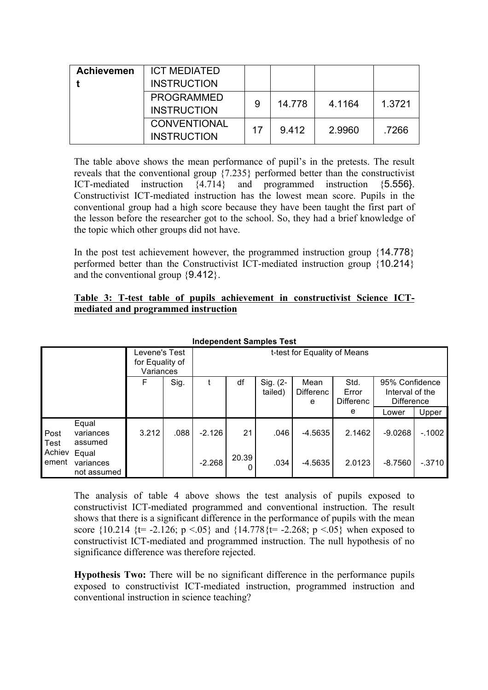| <b>Achievemen</b> | <b>ICT MEDIATED</b><br><b>INSTRUCTION</b> |    |        |        |        |
|-------------------|-------------------------------------------|----|--------|--------|--------|
|                   | <b>PROGRAMMED</b><br><b>INSTRUCTION</b>   | 9  | 14.778 | 4.1164 | 1.3721 |
|                   | <b>CONVENTIONAL</b><br><b>INSTRUCTION</b> | 17 | 9.412  | 2.9960 | .7266  |

The table above shows the mean performance of pupil's in the pretests. The result reveals that the conventional group {7.235} performed better than the constructivist ICT-mediated instruction {4.714} and programmed instruction {5.556}. Constructivist ICT-mediated instruction has the lowest mean score. Pupils in the conventional group had a high score because they have been taught the first part of the lesson before the researcher got to the school. So, they had a brief knowledge of the topic which other groups did not have.

In the post test achievement however, the programmed instruction group {14.778} performed better than the Constructivist ICT-mediated instruction group {10.214} and the conventional group {9.412}.

## **Table 3: T-test table of pupils achievement in constructivist Science ICTmediated and programmed instruction**

| Levene's Test<br>for Equality of<br>Variances |                                   |       | t-test for Equality of Means |          |            |                     |                               |                                   |                                                        |          |
|-----------------------------------------------|-----------------------------------|-------|------------------------------|----------|------------|---------------------|-------------------------------|-----------------------------------|--------------------------------------------------------|----------|
|                                               |                                   | F     | Sig.                         |          | df         | Sig. (2-<br>tailed) | Mean<br><b>Differenc</b><br>e | Std.<br>Error<br><b>Differenc</b> | 95% Confidence<br>Interval of the<br><b>Difference</b> |          |
|                                               |                                   |       |                              |          |            |                     |                               | е                                 | Lower                                                  | Upper    |
| Post<br>Test                                  | Equal<br>variances<br>assumed     | 3.212 | .088                         | $-2.126$ | 21         | .046                | $-4.5635$                     | 2.1462                            | $-9.0268$                                              | $-.1002$ |
| Achiev<br>ement                               | Equal<br>variances<br>not assumed |       |                              | $-2.268$ | 20.39<br>0 | .034                | $-4.5635$                     | 2.0123                            | $-8.7560$                                              | $-.3710$ |

**Independent Samples Test**

The analysis of table 4 above shows the test analysis of pupils exposed to constructivist ICT-mediated programmed and conventional instruction. The result shows that there is a significant difference in the performance of pupils with the mean score  $\{10.214 \}$  {t= -2.126; p <.05} and  $\{14.778\}$  t= -2.268; p <.05} when exposed to constructivist ICT-mediated and programmed instruction. The null hypothesis of no significance difference was therefore rejected.

**Hypothesis Two:** There will be no significant difference in the performance pupils exposed to constructivist ICT-mediated instruction, programmed instruction and conventional instruction in science teaching?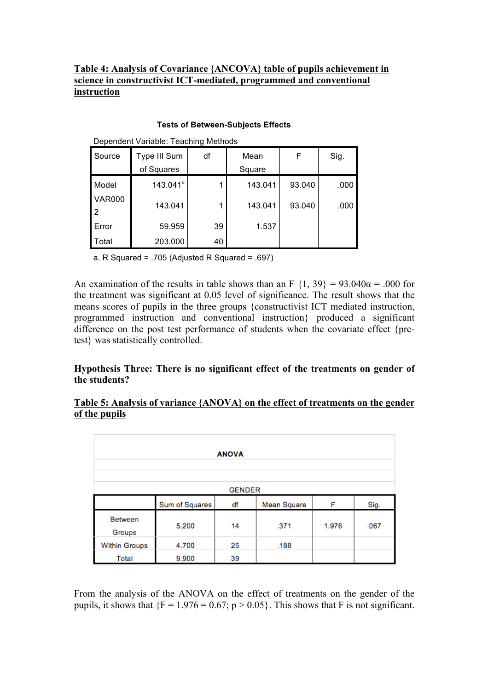# **Table 4: Analysis of Covariance {ANCOVA} table of pupils achievement in science in constructivist ICT-mediated, programmed and conventional instruction**

| Dependent Variable: Teaching Methods |              |    |         |        |      |  |  |  |
|--------------------------------------|--------------|----|---------|--------|------|--|--|--|
| Source                               | Type III Sum | df | Mean    | F      | Sig. |  |  |  |
|                                      | of Squares   |    | Square  |        |      |  |  |  |
| Model                                | $143.041^a$  | 1  | 143.041 | 93.040 | .000 |  |  |  |
| <b>VAR000</b>                        | 143.041      | 1  | 143.041 | 93.040 | .000 |  |  |  |
| 2                                    |              |    |         |        |      |  |  |  |
| Error                                | 59.959       | 39 | 1.537   |        |      |  |  |  |
| Total                                | 203.000      | 40 |         |        |      |  |  |  |

#### **Tests of Between-Subjects Effects**

a. R Squared = .705 (Adjusted R Squared = .697)

An examination of the results in table shows than an F  $\{1, 39\} = 93.040\alpha = .000$  for the treatment was significant at 0.05 level of significance. The result shows that the means scores of pupils in the three groups {constructivist ICT mediated instruction, programmed instruction and conventional instruction} produced a significant difference on the post test performance of students when the covariate effect {pretest} was statistically controlled.

# **Hypothesis Three: There is no significant effect of the treatments on gender of the students?**

## **Table 5: Analysis of variance {ANOVA} on the effect of treatments on the gender of the pupils**

| <b>ANOVA</b>             |                |    |             |       |      |  |  |
|--------------------------|----------------|----|-------------|-------|------|--|--|
| <b>GENDER</b>            |                |    |             |       |      |  |  |
|                          | Sum of Squares | df | Mean Square | F     | Sig. |  |  |
| <b>Between</b><br>Groups | 5.200          | 14 | .371        | 1.976 | .067 |  |  |
| <b>Within Groups</b>     | 4.700          | 25 | .188        |       |      |  |  |
| Total                    | 9.900          | 39 |             |       |      |  |  |

From the analysis of the ANOVA on the effect of treatments on the gender of the pupils, it shows that  ${F = 1.976 = 0.67; p > 0.05}$ . This shows that F is not significant.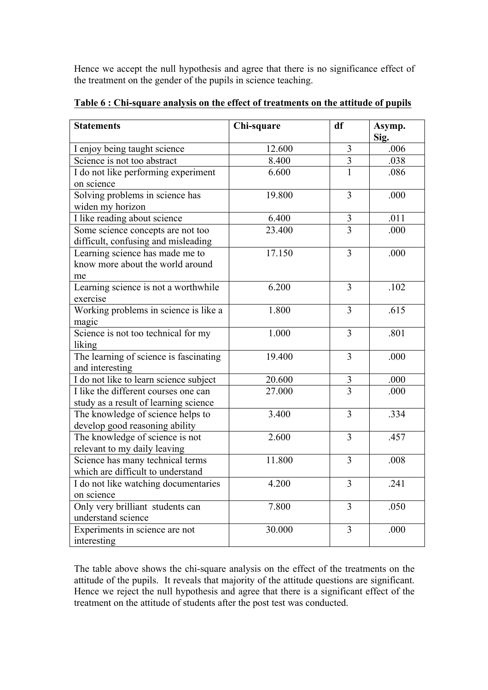Hence we accept the null hypothesis and agree that there is no significance effect of the treatment on the gender of the pupils in science teaching.

| <b>Statements</b>                                                             | Chi-square | df             | Asymp.<br>Sig. |
|-------------------------------------------------------------------------------|------------|----------------|----------------|
| I enjoy being taught science                                                  | 12.600     | 3              | .006           |
| Science is not too abstract                                                   | 8.400      | $\overline{3}$ | .038           |
| I do not like performing experiment<br>on science                             | 6.600      | $\mathbf{1}$   | .086           |
| Solving problems in science has<br>widen my horizon                           | 19.800     | 3              | .000           |
| I like reading about science                                                  | 6.400      | 3              | .011           |
| Some science concepts are not too<br>difficult, confusing and misleading      | 23.400     | $\overline{3}$ | .000           |
| Learning science has made me to<br>know more about the world around<br>me     | 17.150     | 3              | .000           |
| Learning science is not a worthwhile<br>exercise                              | 6.200      | 3              | .102           |
| Working problems in science is like a<br>magic                                | 1.800      | 3              | .615           |
| Science is not too technical for my<br>liking                                 | 1.000      | 3              | .801           |
| The learning of science is fascinating<br>and interesting                     | 19.400     | 3              | .000           |
| I do not like to learn science subject                                        | 20.600     | $\mathfrak{Z}$ | .000           |
| I like the different courses one can<br>study as a result of learning science | 27.000     | $\overline{3}$ | .000           |
| The knowledge of science helps to<br>develop good reasoning ability           | 3.400      | 3              | .334           |
| The knowledge of science is not<br>relevant to my daily leaving               | 2.600      | 3              | .457           |
| Science has many technical terms<br>which are difficult to understand         | 11.800     | 3              | .008           |
| I do not like watching documentaries<br>on science                            | 4.200      | 3              | .241           |
| Only very brilliant students can<br>understand science                        | 7.800      | 3              | .050           |
| Experiments in science are not<br>interesting                                 | 30.000     | 3              | .000           |

**Table 6 : Chi-square analysis on the effect of treatments on the attitude of pupils** 

The table above shows the chi-square analysis on the effect of the treatments on the attitude of the pupils. It reveals that majority of the attitude questions are significant. Hence we reject the null hypothesis and agree that there is a significant effect of the treatment on the attitude of students after the post test was conducted.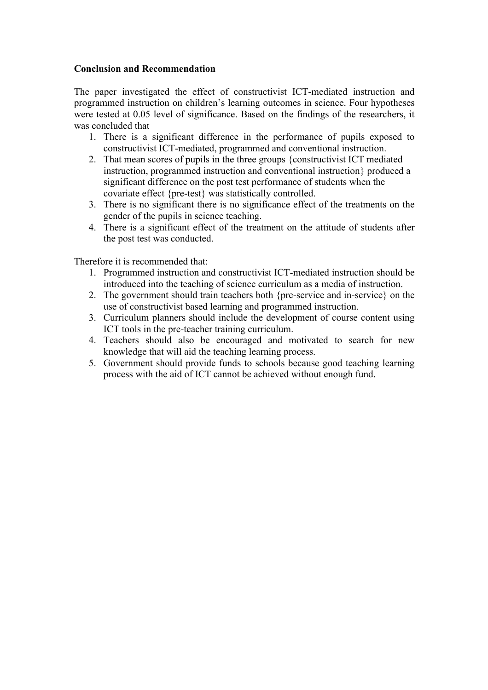#### **Conclusion and Recommendation**

The paper investigated the effect of constructivist ICT-mediated instruction and programmed instruction on children's learning outcomes in science. Four hypotheses were tested at 0.05 level of significance. Based on the findings of the researchers, it was concluded that

- 1. There is a significant difference in the performance of pupils exposed to constructivist ICT-mediated, programmed and conventional instruction.
- 2. That mean scores of pupils in the three groups {constructivist ICT mediated instruction, programmed instruction and conventional instruction} produced a significant difference on the post test performance of students when the covariate effect {pre-test} was statistically controlled.
- 3. There is no significant there is no significance effect of the treatments on the gender of the pupils in science teaching.
- 4. There is a significant effect of the treatment on the attitude of students after the post test was conducted.

Therefore it is recommended that:

- 1. Programmed instruction and constructivist ICT-mediated instruction should be introduced into the teaching of science curriculum as a media of instruction.
- 2. The government should train teachers both {pre-service and in-service} on the use of constructivist based learning and programmed instruction.
- 3. Curriculum planners should include the development of course content using ICT tools in the pre-teacher training curriculum.
- 4. Teachers should also be encouraged and motivated to search for new knowledge that will aid the teaching learning process.
- 5. Government should provide funds to schools because good teaching learning process with the aid of ICT cannot be achieved without enough fund.